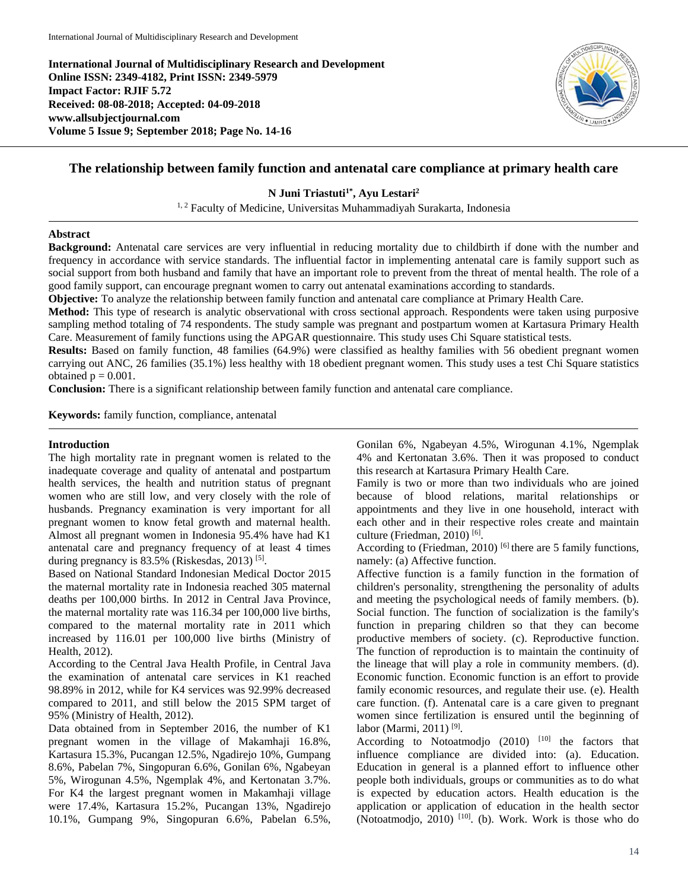**International Journal of Multidisciplinary Research and Development Online ISSN: 2349-4182, Print ISSN: 2349-5979 Impact Factor: RJIF 5.72 Received: 08-08-2018; Accepted: 04-09-2018 www.allsubjectjournal.com Volume 5 Issue 9; September 2018; Page No. 14-16**



# **The relationship between family function and antenatal care compliance at primary health care**

**N Juni Triastuti1\* , Ayu Lestari<sup>2</sup>**

<sup>1, 2</sup> Faculty of Medicine, Universitas Muhammadiyah Surakarta, Indonesia

### **Abstract**

**Background:** Antenatal care services are very influential in reducing mortality due to childbirth if done with the number and frequency in accordance with service standards. The influential factor in implementing antenatal care is family support such as social support from both husband and family that have an important role to prevent from the threat of mental health. The role of a good family support, can encourage pregnant women to carry out antenatal examinations according to standards.

**Objective:** To analyze the relationship between family function and antenatal care compliance at Primary Health Care.

**Method:** This type of research is analytic observational with cross sectional approach. Respondents were taken using purposive sampling method totaling of 74 respondents. The study sample was pregnant and postpartum women at Kartasura Primary Health Care. Measurement of family functions using the APGAR questionnaire. This study uses Chi Square statistical tests.

**Results:** Based on family function, 48 families (64.9%) were classified as healthy families with 56 obedient pregnant women carrying out ANC, 26 families (35.1%) less healthy with 18 obedient pregnant women. This study uses a test Chi Square statistics obtained  $p = 0.001$ .

**Conclusion:** There is a significant relationship between family function and antenatal care compliance.

**Keywords:** family function, compliance, antenatal

#### **Introduction**

The high mortality rate in pregnant women is related to the inadequate coverage and quality of antenatal and postpartum health services, the health and nutrition status of pregnant women who are still low, and very closely with the role of husbands. Pregnancy examination is very important for all pregnant women to know fetal growth and maternal health. Almost all pregnant women in Indonesia 95.4% have had K1 antenatal care and pregnancy frequency of at least 4 times during pregnancy is 83.5% (Riskesdas, 2013)<sup>[5]</sup>.

Based on National Standard Indonesian Medical Doctor 2015 the maternal mortality rate in Indonesia reached 305 maternal deaths per 100,000 births. In 2012 in Central Java Province, the maternal mortality rate was 116.34 per 100,000 live births, compared to the maternal mortality rate in 2011 which increased by 116.01 per 100,000 live births (Ministry of Health, 2012).

According to the Central Java Health Profile, in Central Java the examination of antenatal care services in K1 reached 98.89% in 2012, while for K4 services was 92.99% decreased compared to 2011, and still below the 2015 SPM target of 95% (Ministry of Health, 2012).

Data obtained from in September 2016, the number of K1 pregnant women in the village of Makamhaji 16.8%, Kartasura 15.3%, Pucangan 12.5%, Ngadirejo 10%, Gumpang 8.6%, Pabelan 7%, Singopuran 6.6%, Gonilan 6%, Ngabeyan 5%, Wirogunan 4.5%, Ngemplak 4%, and Kertonatan 3.7%. For K4 the largest pregnant women in Makamhaji village were 17.4%, Kartasura 15.2%, Pucangan 13%, Ngadirejo 10.1%, Gumpang 9%, Singopuran 6.6%, Pabelan 6.5%, Gonilan 6%, Ngabeyan 4.5%, Wirogunan 4.1%, Ngemplak 4% and Kertonatan 3.6%. Then it was proposed to conduct this research at Kartasura Primary Health Care.

Family is two or more than two individuals who are joined because of blood relations, marital relationships or appointments and they live in one household, interact with each other and in their respective roles create and maintain culture (Friedman, 2010)<sup>[6]</sup>.

According to (Friedman, 2010)  $^{[6]}$  there are 5 family functions, namely: (a) Affective function.

Affective function is a family function in the formation of children's personality, strengthening the personality of adults and meeting the psychological needs of family members. (b). Social function. The function of socialization is the family's function in preparing children so that they can become productive members of society. (c). Reproductive function. The function of reproduction is to maintain the continuity of the lineage that will play a role in community members. (d). Economic function. Economic function is an effort to provide family economic resources, and regulate their use. (e). Health care function. (f). Antenatal care is a care given to pregnant women since fertilization is ensured until the beginning of labor (Marmi, 2011)<sup>[9]</sup>.

According to Notoatmodjo  $(2010)$ <sup>[10]</sup> the factors that influence compliance are divided into: (a). Education. Education in general is a planned effort to influence other people both individuals, groups or communities as to do what is expected by education actors. Health education is the application or application of education in the health sector (Notoatmodjo, 2010)<sup>[10]</sup>. (b). Work. Work is those who do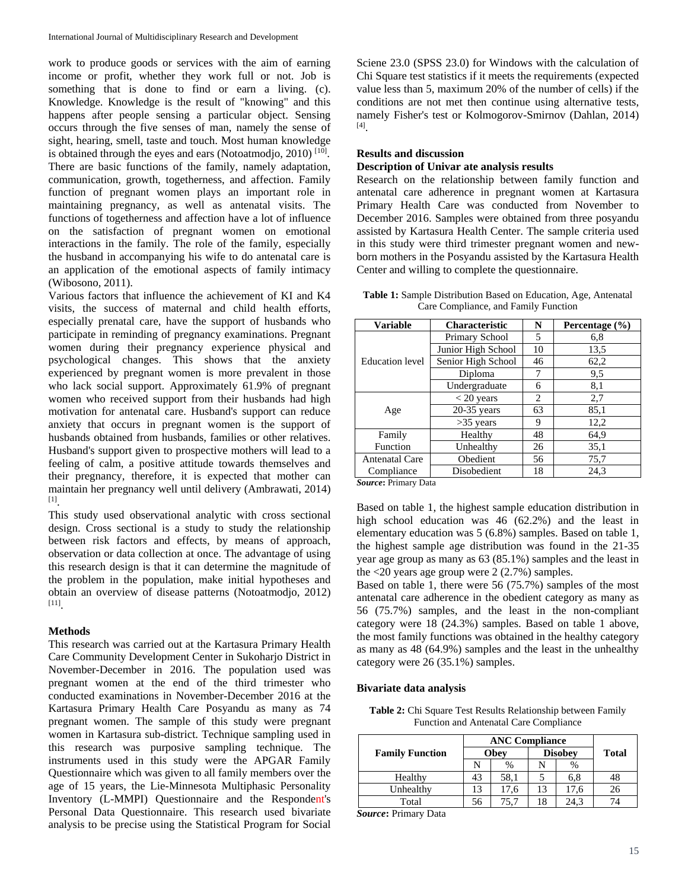work to produce goods or services with the aim of earning income or profit, whether they work full or not. Job is something that is done to find or earn a living. (c). Knowledge. Knowledge is the result of "knowing" and this happens after people sensing a particular object. Sensing occurs through the five senses of man, namely the sense of sight, hearing, smell, taste and touch. Most human knowledge is obtained through the eyes and ears (Notoatmodjo, 2010)<sup>[10]</sup>. There are basic functions of the family, namely adaptation, communication, growth, togetherness, and affection. Family function of pregnant women plays an important role in maintaining pregnancy, as well as antenatal visits. The functions of togetherness and affection have a lot of influence on the satisfaction of pregnant women on emotional interactions in the family. The role of the family, especially the husband in accompanying his wife to do antenatal care is an application of the emotional aspects of family intimacy (Wibosono, 2011).

Various factors that influence the achievement of KI and K4 visits, the success of maternal and child health efforts, especially prenatal care, have the support of husbands who participate in reminding of pregnancy examinations. Pregnant women during their pregnancy experience physical and psychological changes. This shows that the anxiety experienced by pregnant women is more prevalent in those who lack social support. Approximately 61.9% of pregnant women who received support from their husbands had high motivation for antenatal care. Husband's support can reduce anxiety that occurs in pregnant women is the support of husbands obtained from husbands, families or other relatives. Husband's support given to prospective mothers will lead to a feeling of calm, a positive attitude towards themselves and their pregnancy, therefore, it is expected that mother can maintain her pregnancy well until delivery (Ambrawati, 2014) [1] .

This study used observational analytic with cross sectional design. Cross sectional is a study to study the relationship between risk factors and effects, by means of approach, observation or data collection at once. The advantage of using this research design is that it can determine the magnitude of the problem in the population, make initial hypotheses and obtain an overview of disease patterns (Notoatmodjo, 2012) [11] .

### **Methods**

This research was carried out at the Kartasura Primary Health Care Community Development Center in Sukoharjo District in November-December in 2016. The population used was pregnant women at the end of the third trimester who conducted examinations in November-December 2016 at the Kartasura Primary Health Care Posyandu as many as 74 pregnant women. The sample of this study were pregnant women in Kartasura sub-district. Technique sampling used in this research was purposive sampling technique. The instruments used in this study were the APGAR Family Questionnaire which was given to all family members over the age of 15 years, the Lie-Minnesota Multiphasic Personality Inventory (L-MMPI) Questionnaire and the Respondent's Personal Data Questionnaire. This research used bivariate analysis to be precise using the Statistical Program for Social

Sciene 23.0 (SPSS 23.0) for Windows with the calculation of Chi Square test statistics if it meets the requirements (expected value less than 5, maximum 20% of the number of cells) if the conditions are not met then continue using alternative tests, namely Fisher's test or Kolmogorov-Smirnov (Dahlan, 2014) [4] .

### **Results and discussion**

## **Description of Univar ate analysis results**

Research on the relationship between family function and antenatal care adherence in pregnant women at Kartasura Primary Health Care was conducted from November to December 2016. Samples were obtained from three posyandu assisted by Kartasura Health Center. The sample criteria used in this study were third trimester pregnant women and newborn mothers in the Posyandu assisted by the Kartasura Health Center and willing to complete the questionnaire.

**Table 1:** Sample Distribution Based on Education, Age, Antenatal Care Compliance, and Family Function

| <b>Variable</b>        | <b>Characteristic</b> | N          | Percentage $(\% )$ |  |
|------------------------|-----------------------|------------|--------------------|--|
|                        | Primary School        | 5          | 6,8                |  |
| <b>Education</b> level | Junior High School    | 10         | 13,5               |  |
|                        | Senior High School    | 46<br>62,2 |                    |  |
|                        | Diploma               | 7          | 9,5                |  |
|                        | Undergraduate<br>6    |            | 8,1                |  |
| Age                    | $<$ 20 years          | 2          | 2,7                |  |
|                        | $20-35$ years         | 63         | 85,1               |  |
|                        | $>35$ years           | 9          | 12,2               |  |
| Family                 | Healthy               | 48         | 64,9               |  |
| Function               | Unhealthy             | 26         | 35,1               |  |
| <b>Antenatal Care</b>  | Obedient              | 56         | 75,7               |  |
| Compliance             | Disobedient           | 18         | 24.3               |  |

*Source***:** Primary Data

Based on table 1, the highest sample education distribution in high school education was 46 (62.2%) and the least in elementary education was 5 (6.8%) samples. Based on table 1, the highest sample age distribution was found in the 21-35 year age group as many as 63 (85.1%) samples and the least in the  $<20$  years age group were 2 (2.7%) samples.

Based on table 1, there were 56 (75.7%) samples of the most antenatal care adherence in the obedient category as many as 56 (75.7%) samples, and the least in the non-compliant category were 18 (24.3%) samples. Based on table 1 above, the most family functions was obtained in the healthy category as many as 48 (64.9%) samples and the least in the unhealthy category were 26 (35.1%) samples.

### **Bivariate data analysis**

**Table 2:** Chi Square Test Results Relationship between Family Function and Antenatal Care Compliance

|                        | <b>ANC Compliance</b> |      |                |      |              |
|------------------------|-----------------------|------|----------------|------|--------------|
| <b>Family Function</b> | Obey                  |      | <b>Disobey</b> |      | <b>Total</b> |
|                        |                       | $\%$ |                | $\%$ |              |
| Healthy                | 43                    | 58.1 |                | 6,8  | 48           |
| Unhealthy              | 13                    | 17.6 |                | 17.6 | 26           |
| Total                  | 56                    | 15.7 |                | 24.3 | 74           |

*Source***:** Primary Data